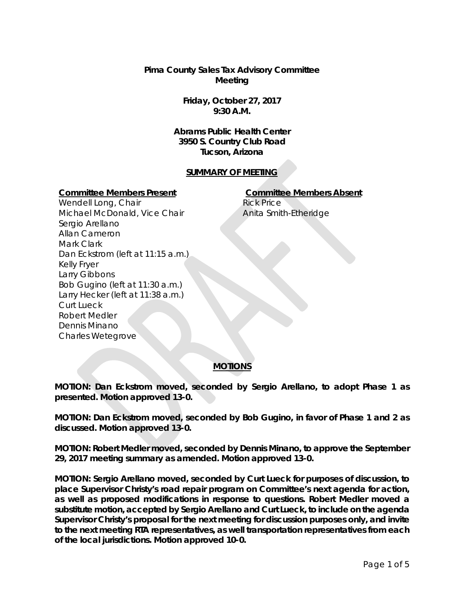**Pima County Sales Tax Advisory Committee Meeting**

> **Friday, October 27, 2017 9:30 A.M.**

**Abrams Public Health Center 3950 S. Country Club Road Tucson, Arizona**

#### **SUMMARY OF MEETING**

#### **Committee Members Present Committee Members Absent**

Rick Price Anita Smith-Etheridge

Wendell Long, Chair Michael McDonald, Vice Chair Sergio Arellano Allan Cameron Mark Clark Dan Eckstrom (left at 11:15 a.m.) Kelly Fryer Larry Gibbons Bob Gugino (left at 11:30 a.m.) Larry Hecker (left at 11:38 a.m.) Curt Lueck Robert Medler Dennis Minano Charles Wetegrove

#### **MOTIONS**

**MOTION: Dan Eckstrom moved, seconded by Sergio Arellano, to adopt Phase 1 as presented. Motion approved 13-0.** 

**MOTION: Dan Eckstrom moved, seconded by Bob Gugino, in favor of Phase 1 and 2 as discussed. Motion approved 13-0.**

**MOTION: Robert Medler moved, seconded by Dennis Minano, to approve the September 29, 2017 meeting summary as amended. Motion approved 13-0.**

**MOTION: Sergio Arellano moved, seconded by Curt Lueck for purposes of discussion, to place Supervisor Christy's road repair program on Committee's next agenda for action, as well as proposed modifications in response to questions. Robert Medler moved a substitute motion, accepted by Sergio Arellano and Curt Lueck, to include on the agenda Supervisor Christy's proposal for the next meeting for discussion purposes only, and invite to the next meeting RTA representatives, as well transportation representatives from each of the local jurisdictions. Motion approved 10-0.**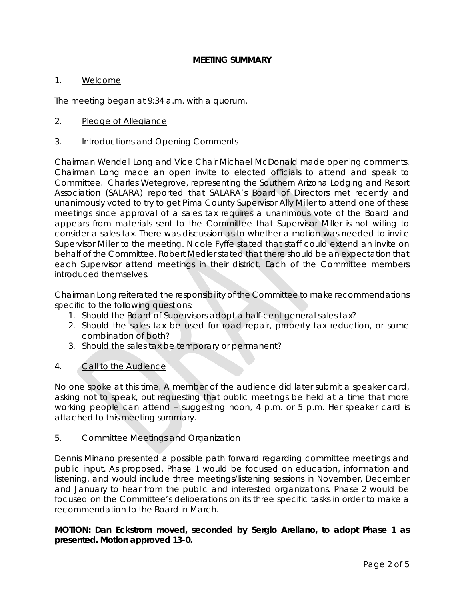#### 1. Welcome

The meeting began at 9:34 a.m. with a quorum.

#### 2. Pledge of Allegiance

3. Introductions and Opening Comments

Chairman Wendell Long and Vice Chair Michael McDonald made opening comments. Chairman Long made an open invite to elected officials to attend and speak to Committee. Charles Wetegrove, representing the Southern Arizona Lodging and Resort Association (SALARA) reported that SALARA's Board of Directors met recently and unanimously voted to try to get Pima County Supervisor Ally Miller to attend one of these meetings since approval of a sales tax requires a unanimous vote of the Board and appears from materials sent to the Committee that Supervisor Miller is not willing to consider a sales tax. There was discussion as to whether a motion was needed to invite Supervisor Miller to the meeting. Nicole Fyffe stated that staff could extend an invite on behalf of the Committee. Robert Medler stated that there should be an expectation that each Supervisor attend meetings in their district. Each of the Committee members introduced themselves.

Chairman Long reiterated the responsibility of the Committee to make recommendations specific to the following questions:

- 1. Should the Board of Supervisors adopt a half-cent general sales tax?
- 2. Should the sales tax be used for road repair, property tax reduction, or some combination of both?
- 3. Should the sales tax be temporary or permanent?
- 4. Call to the Audience

No one spoke at this time. A member of the audience did later submit a speaker card, asking not to speak, but requesting that public meetings be held at a time that more working people can attend - suggesting noon, 4 p.m. or 5 p.m. Her speaker card is attached to this meeting summary.

#### 5. Committee Meetings and Organization

Dennis Minano presented a possible path forward regarding committee meetings and public input. As proposed, Phase 1 would be focused on education, information and listening, and would include three meetings/listening sessions in November, December and January to hear from the public and interested organizations. Phase 2 would be focused on the Committee's deliberations on its three specific tasks in order to make a recommendation to the Board in March.

## **MOTION: Dan Eckstrom moved, seconded by Sergio Arellano, to adopt Phase 1 as presented. Motion approved 13-0.**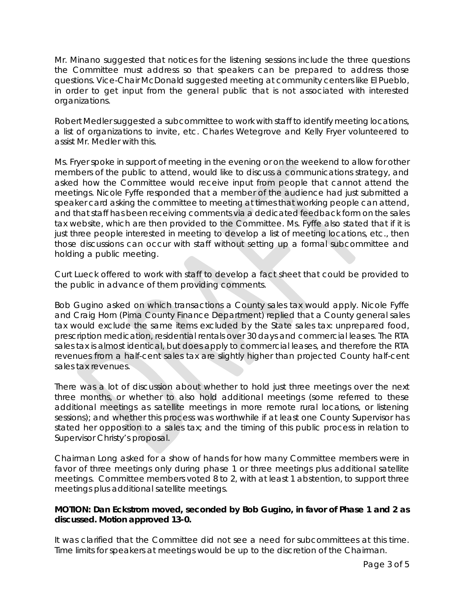Mr. Minano suggested that notices for the listening sessions include the three questions the Committee must address so that speakers can be prepared to address those questions. Vice-Chair McDonald suggested meeting at community centers like El Pueblo, in order to get input from the general public that is not associated with interested organizations.

Robert Medler suggested a subcommittee to work with staff to identify meeting locations, a list of organizations to invite, etc. Charles Wetegrove and Kelly Fryer volunteered to assist Mr. Medler with this.

Ms. Fryer spoke in support of meeting in the evening or on the weekend to allow for other members of the public to attend, would like to discuss a communications strategy, and asked how the Committee would receive input from people that cannot attend the meetings. Nicole Fyffe responded that a member of the audience had just submitted a speaker card asking the committee to meeting at times that working people can attend, and that staff has been receiving comments via a dedicated feedback form on the sales tax website, which are then provided to the Committee. Ms. Fyffe also stated that if it is just three people interested in meeting to develop a list of meeting locations, etc., then those discussions can occur with staff without setting up a formal subcommittee and holding a public meeting.

Curt Lueck offered to work with staff to develop a fact sheet that could be provided to the public in advance of them providing comments.

Bob Gugino asked on which transactions a County sales tax would apply. Nicole Fyffe and Craig Horn (Pima County Finance Department) replied that a County general sales tax would exclude the same items excluded by the State sales tax: unprepared food, prescription medication, residential rentals over 30 days and commercial leases. The RTA sales tax is almost identical, but does apply to commercial leases, and therefore the RTA revenues from a half-cent sales tax are slightly higher than projected County half-cent sales tax revenues.

There was a lot of discussion about whether to hold just three meetings over the next three months, or whether to also hold additional meetings (some referred to these additional meetings as satellite meetings in more remote rural locations, or listening sessions); and whether this process was worthwhile if at least one County Supervisor has stated her opposition to a sales tax; and the timing of this public process in relation to Supervisor Christy's proposal.

Chairman Long asked for a show of hands for how many Committee members were in favor of three meetings only during phase 1 or three meetings plus additional satellite meetings. Committee members voted 8 to 2, with at least 1 abstention, to support three meetings plus additional satellite meetings.

## **MOTION: Dan Eckstrom moved, seconded by Bob Gugino, in favor of Phase 1 and 2 as discussed. Motion approved 13-0.**

It was clarified that the Committee did not see a need for subcommittees at this time. Time limits for speakers at meetings would be up to the discretion of the Chairman.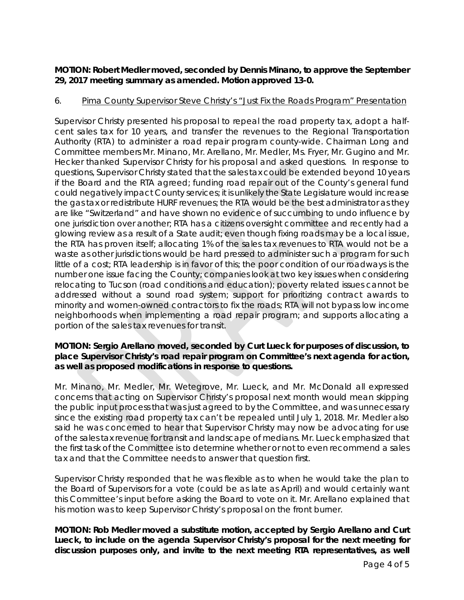# **MOTION: Robert Medler moved, seconded by Dennis Minano, to approve the September 29, 2017 meeting summary as amended. Motion approved 13-0.**

## 6. Pima County Supervisor Steve Christy's "Just Fix the Roads Program" Presentation

Supervisor Christy presented his proposal to repeal the road property tax, adopt a halfcent sales tax for 10 years, and transfer the revenues to the Regional Transportation Authority (RTA) to administer a road repair program county-wide. Chairman Long and Committee members Mr. Minano, Mr. Arellano, Mr. Medler, Ms. Fryer, Mr. Gugino and Mr. Hecker thanked Supervisor Christy for his proposal and asked questions. In response to questions, Supervisor Christy stated that the sales tax could be extended beyond 10 years if the Board and the RTA agreed; funding road repair out of the County's general fund could negatively impact County services; it is unlikely the State Legislature would increase the gas tax or redistribute HURF revenues; the RTA would be the best administrator as they are like "Switzerland" and have shown no evidence of succumbing to undo influence by one jurisdiction over another; RTA has a citizens oversight committee and recently had a glowing review as a result of a State audit; even though fixing roads may be a local issue, the RTA has proven itself; allocating 1% of the sales tax revenues to RTA would not be a waste as other jurisdictions would be hard pressed to administer such a program for such little of a cost; RTA leadership is in favor of this; the poor condition of our roadways is the number one issue facing the County; companies look at two key issues when considering relocating to Tucson (road conditions and education); poverty related issues cannot be addressed without a sound road system; support for prioritizing contract awards to minority and women-owned contractors to fix the roads; RTA will not bypass low income neighborhoods when implementing a road repair program; and supports allocating a portion of the sales tax revenues for transit.

### **MOTION: Sergio Arellano moved, seconded by Curt Lueck for purposes of discussion, to place Supervisor Christy's road repair program on Committee's next agenda for action, as well as proposed modifications in response to questions.**

Mr. Minano, Mr. Medler, Mr. Wetegrove, Mr. Lueck, and Mr. McDonald all expressed concerns that acting on Supervisor Christy's proposal next month would mean skipping the public input process that was just agreed to by the Committee, and was unnecessary since the existing road property tax can't be repealed until July 1, 2018. Mr. Medler also said he was concerned to hear that Supervisor Christy may now be advocating for use of the sales tax revenue for transit and landscape of medians. Mr. Lueck emphasized that the first task of the Committee is to determine whether or not to even recommend a sales tax and that the Committee needs to answer that question first.

Supervisor Christy responded that he was flexible as to when he would take the plan to the Board of Supervisors for a vote (could be as late as April) and would certainly want this Committee's input before asking the Board to vote on it. Mr. Arellano explained that his motion was to keep Supervisor Christy's proposal on the front burner.

**MOTION: Rob Medler moved a substitute motion, accepted by Sergio Arellano and Curt Lueck, to include on the agenda Supervisor Christy's proposal for the next meeting for discussion purposes only, and invite to the next meeting RTA representatives, as well**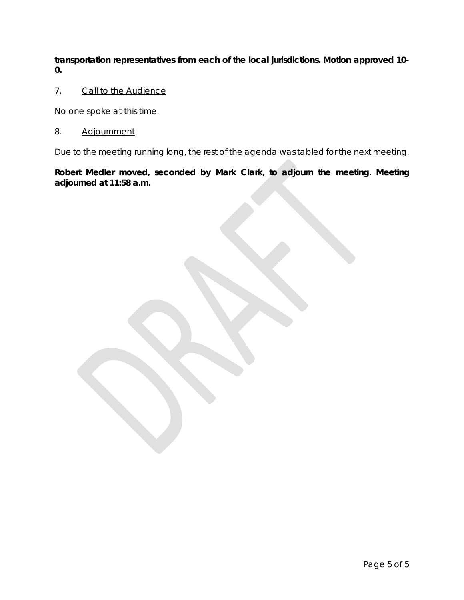**transportation representatives from each of the local jurisdictions. Motion approved 10- 0.** 

7. Call to the Audience

No one spoke at this time.

## 8. Adjournment

Due to the meeting running long, the rest of the agenda was tabled for the next meeting.

**Robert Medler moved, seconded by Mark Clark, to adjourn the meeting. Meeting adjourned at 11:58 a.m.**